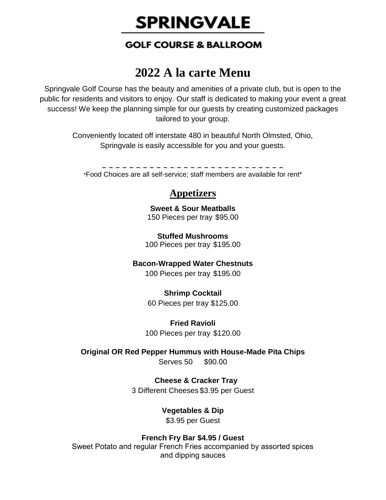# **SPRINGVALE**

## **GOLF COURSE & BALLROOM**

## **2022 A la carte Menu**

Springvale Golf Course has the beauty and amenities of a private club, but is open to the public for residents and visitors to enjoy. Our staff is dedicated to making your event a great success! We keep the planning simple for our guests by creating customized packages tailored to your group.

> Conveniently located off interstate 480 in beautiful North Olmsted, Ohio, Springvale is easily accessible for you and your guests.

\*Food Choices are all self-service; staff members are available for rent\*

## **Appetizers**

**Sweet & Sour Meatballs** 150 Pieces per tray \$95.00

**Stuffed Mushrooms** 100 Pieces per tray \$195.00

## **Bacon-Wrapped Water Chestnuts**

100 Pieces per tray \$195.00

## **Shrimp Cocktail**

60 Pieces per tray \$125.00

#### **Fried Ravioli** 100 Pieces per tray \$120.00

**Original OR Red Pepper Hummus with House-Made Pita Chips** Serves 50 \$90.00

## **Cheese & Cracker Tray**

3 Different Cheeses \$3.95 per Guest

## **Vegetables & Dip**

\$3.95 per Guest

## **French Fry Bar \$4.95 / Guest**

Sweet Potato and regular French Fries accompanied by assorted spices and dipping sauces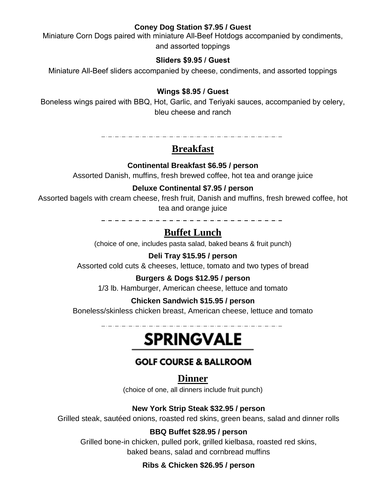#### **Coney Dog Station \$7.95 / Guest**

Miniature Corn Dogs paired with miniature All-Beef Hotdogs accompanied by condiments, and assorted toppings

#### **Sliders \$9.95 / Guest**

Miniature All-Beef sliders accompanied by cheese, condiments, and assorted toppings

## **Wings \$8.95 / Guest**

Boneless wings paired with BBQ, Hot, Garlic, and Teriyaki sauces, accompanied by celery, bleu cheese and ranch

## **Breakfast**

## **Continental Breakfast \$6.95 / person**

Assorted Danish, muffins, fresh brewed coffee, hot tea and orange juice

#### **Deluxe Continental \$7.95 / person**

Assorted bagels with cream cheese, fresh fruit, Danish and muffins, fresh brewed coffee, hot tea and orange juice

> 2. 2. 2. 2. 2. 2. 2. 2. 2. 2. 2

## **Buffet Lunch**

(choice of one, includes pasta salad, baked beans & fruit punch)

#### **Deli Tray \$15.95 / person**

Assorted cold cuts & cheeses, lettuce, tomato and two types of bread

#### **Burgers & Dogs \$12.95 / person**

1/3 lb. Hamburger, American cheese, lettuce and tomato

#### **Chicken Sandwich \$15.95 / person**

Boneless/skinless chicken breast, American cheese, lettuce and tomato

## **SPRINGVALE**

## **GOLF COURSE & BALLROOM**

## **Dinner**

(choice of one, all dinners include fruit punch)

## **New York Strip Steak \$32.95 / person**

Grilled steak, sautéed onions, roasted red skins, green beans, salad and dinner rolls

## **BBQ Buffet \$28.95 / person**

Grilled bone-in chicken, pulled pork, grilled kielbasa, roasted red skins, baked beans, salad and cornbread muffins

## **Ribs & Chicken \$26.95 / person**